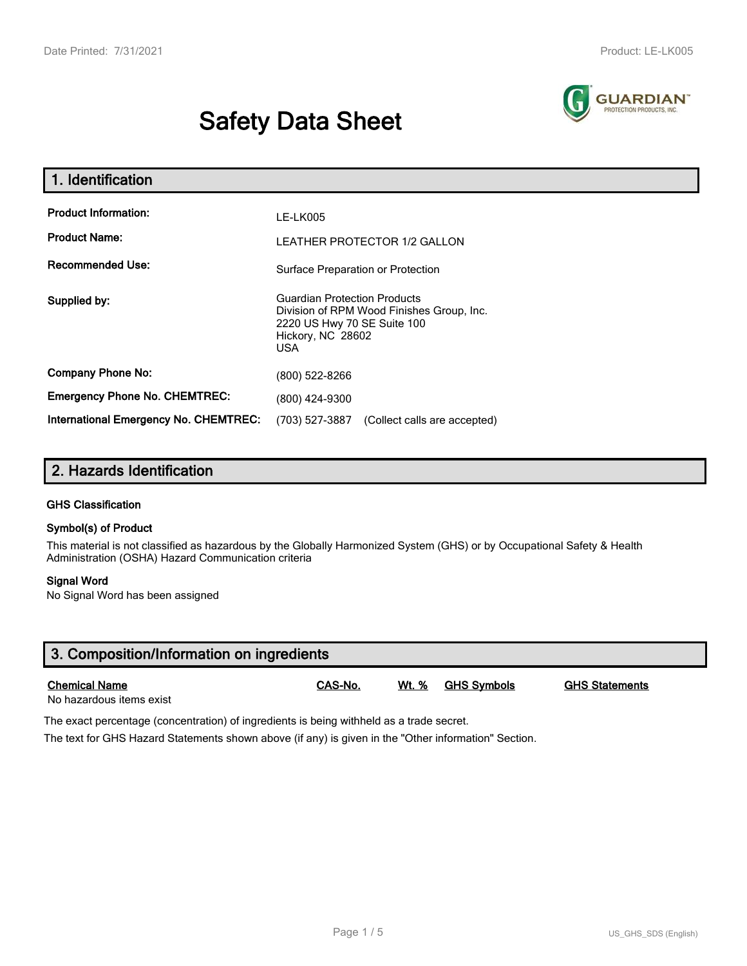# **Safety Data Sheet**



| 1. Identification                                                              |                                                                                                                                                    |  |  |  |
|--------------------------------------------------------------------------------|----------------------------------------------------------------------------------------------------------------------------------------------------|--|--|--|
| <b>Product Information:</b><br><b>Product Name:</b><br><b>Recommended Use:</b> | <b>LE-LK005</b><br><b>LEATHER PROTECTOR 1/2 GALLON</b>                                                                                             |  |  |  |
|                                                                                | Surface Preparation or Protection                                                                                                                  |  |  |  |
| Supplied by:                                                                   | <b>Guardian Protection Products</b><br>Division of RPM Wood Finishes Group, Inc.<br>2220 US Hwy 70 SE Suite 100<br>Hickory, NC 28602<br><b>USA</b> |  |  |  |
| <b>Company Phone No:</b>                                                       | (800) 522-8266                                                                                                                                     |  |  |  |
| <b>Emergency Phone No. CHEMTREC:</b>                                           | (800) 424-9300                                                                                                                                     |  |  |  |
| International Emergency No. CHEMTREC:                                          | (703) 527-3887<br>(Collect calls are accepted)                                                                                                     |  |  |  |

## **2. Hazards Identification**

#### **GHS Classification**

#### **Symbol(s) of Product**

This material is not classified as hazardous by the Globally Harmonized System (GHS) or by Occupational Safety & Health Administration (OSHA) Hazard Communication criteria

#### **Signal Word**

No Signal Word has been assigned

| 3. Composition/Information on ingredients        |         |       |             |                       |  |
|--------------------------------------------------|---------|-------|-------------|-----------------------|--|
| <b>Chemical Name</b><br>No hazardous items exist | CAS-No. | Wt. % | GHS Symbols | <b>GHS Statements</b> |  |

The exact percentage (concentration) of ingredients is being withheld as a trade secret.

The text for GHS Hazard Statements shown above (if any) is given in the "Other information" Section.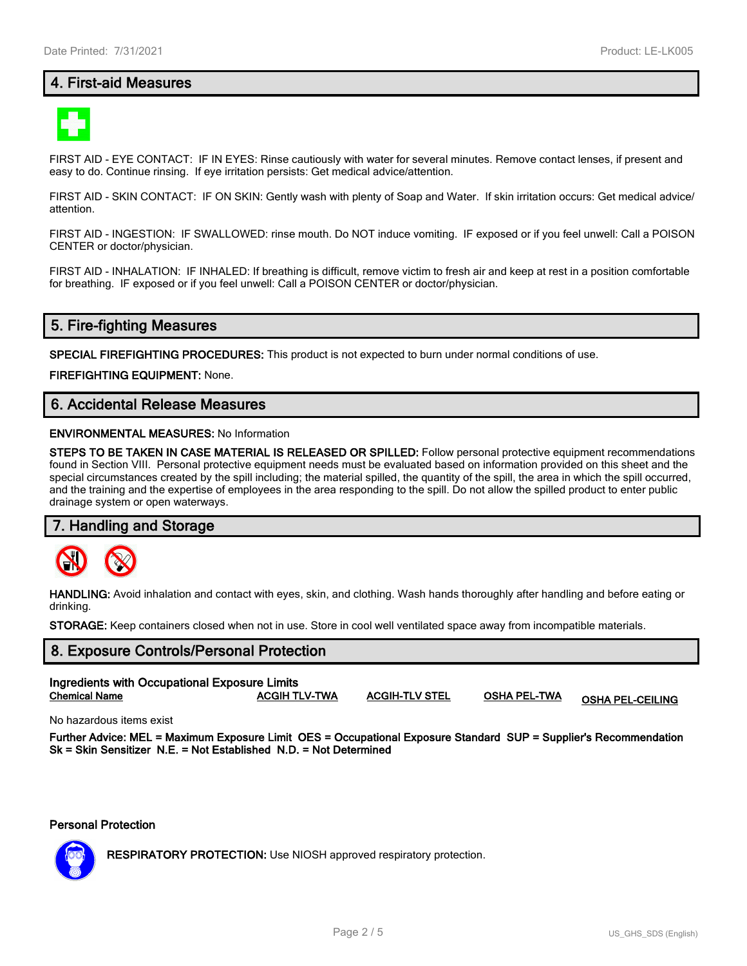## **4. First-aid Measures**



FIRST AID - EYE CONTACT: IF IN EYES: Rinse cautiously with water for several minutes. Remove contact lenses, if present and easy to do. Continue rinsing. If eye irritation persists: Get medical advice/attention.

FIRST AID - SKIN CONTACT: IF ON SKIN: Gently wash with plenty of Soap and Water. If skin irritation occurs: Get medical advice/ attention.

FIRST AID - INGESTION: IF SWALLOWED: rinse mouth. Do NOT induce vomiting. IF exposed or if you feel unwell: Call a POISON CENTER or doctor/physician.

FIRST AID - INHALATION: IF INHALED: If breathing is difficult, remove victim to fresh air and keep at rest in a position comfortable for breathing. IF exposed or if you feel unwell: Call a POISON CENTER or doctor/physician.

## **5. Fire-fighting Measures**

**SPECIAL FIREFIGHTING PROCEDURES:** This product is not expected to burn under normal conditions of use.

**FIREFIGHTING EQUIPMENT:** None.

## **6. Accidental Release Measures**

#### **ENVIRONMENTAL MEASURES:** No Information

**STEPS TO BE TAKEN IN CASE MATERIAL IS RELEASED OR SPILLED:** Follow personal protective equipment recommendations found in Section VIII. Personal protective equipment needs must be evaluated based on information provided on this sheet and the special circumstances created by the spill including; the material spilled, the quantity of the spill, the area in which the spill occurred, and the training and the expertise of employees in the area responding to the spill. Do not allow the spilled product to enter public drainage system or open waterways.

#### **7. Handling and Storage**



**HANDLING:** Avoid inhalation and contact with eyes, skin, and clothing. Wash hands thoroughly after handling and before eating or drinking.

**STORAGE:** Keep containers closed when not in use. Store in cool well ventilated space away from incompatible materials.

## **8. Exposure Controls/Personal Protection Ingredients with Occupational Exposure Limits Chemical Name ACGIH TLV-TWA ACGIH-TLV STEL OSHA PEL-TWA OSHA PEL-CEILING**

No hazardous items exist

**Further Advice: MEL = Maximum Exposure Limit OES = Occupational Exposure Standard SUP = Supplier's Recommendation Sk = Skin Sensitizer N.E. = Not Established N.D. = Not Determined**

**Personal Protection**



**RESPIRATORY PROTECTION:** Use NIOSH approved respiratory protection.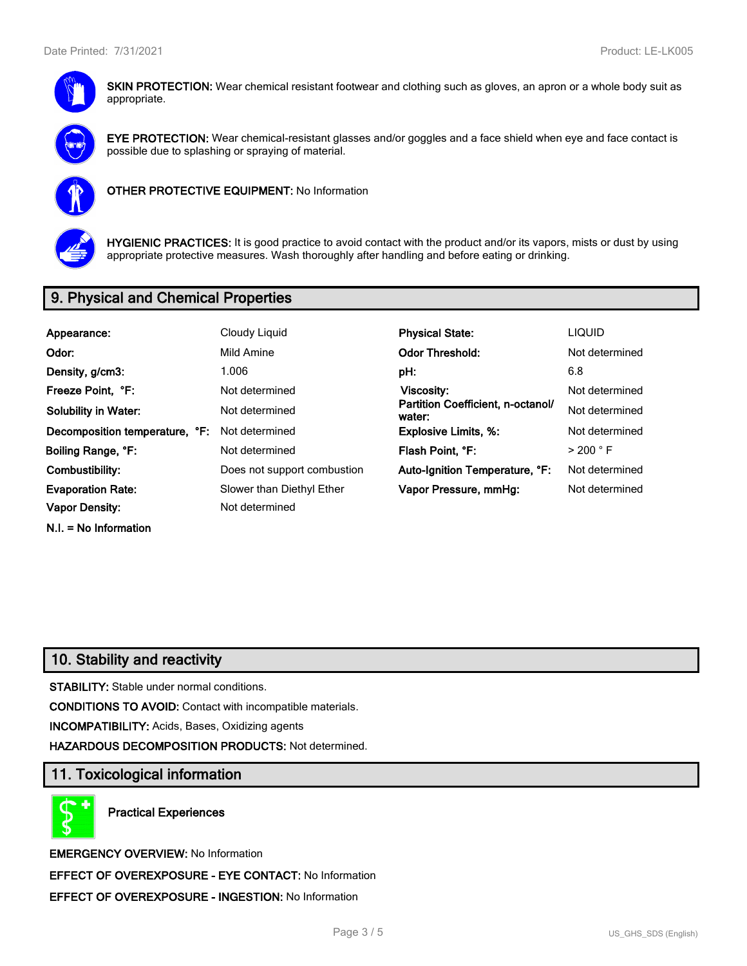

**SKIN PROTECTION:** Wear chemical resistant footwear and clothing such as gloves, an apron or a whole body suit as appropriate.



**EYE PROTECTION:** Wear chemical-resistant glasses and/or goggles and a face shield when eye and face contact is possible due to splashing or spraying of material.



**OTHER PROTECTIVE EQUIPMENT:** No Information



**HYGIENIC PRACTICES:** It is good practice to avoid contact with the product and/or its vapors, mists or dust by using appropriate protective measures. Wash thoroughly after handling and before eating or drinking.

## **9. Physical and Chemical Properties**

| Appearance:                    | Cloudy Liquid               | <b>Physical State:</b>                      | <b>LIQUID</b>        |
|--------------------------------|-----------------------------|---------------------------------------------|----------------------|
| Odor:                          | Mild Amine                  | <b>Odor Threshold:</b>                      | Not determined       |
| Density, g/cm3:                | 1.006                       | pH:                                         | 6.8                  |
| Freeze Point, °F:              | Not determined              | Viscosity:                                  | Not determined       |
| <b>Solubility in Water:</b>    | Not determined              | Partition Coefficient, n-octanol/<br>water: | Not determined       |
| Decomposition temperature, °F: | Not determined              | <b>Explosive Limits, %:</b>                 | Not determined       |
| Boiling Range, °F:             | Not determined              | Flash Point. °F:                            | $>$ 200 $^{\circ}$ F |
| Combustibility:                | Does not support combustion | Auto-Ignition Temperature, °F:              | Not determined       |
| <b>Evaporation Rate:</b>       | Slower than Diethyl Ether   | Vapor Pressure, mmHg:                       | Not determined       |
| Vapor Density:                 | Not determined              |                                             |                      |
| $N.I. = No Information$        |                             |                                             |                      |

## **10. Stability and reactivity**

**STABILITY:** Stable under normal conditions.

**CONDITIONS TO AVOID:** Contact with incompatible materials.

**INCOMPATIBILITY:** Acids, Bases, Oxidizing agents

**HAZARDOUS DECOMPOSITION PRODUCTS:** Not determined.

### **11. Toxicological information**

**Practical Experiences**

**EMERGENCY OVERVIEW:** No Information **EFFECT OF OVEREXPOSURE - EYE CONTACT:** No Information **EFFECT OF OVEREXPOSURE - INGESTION:** No Information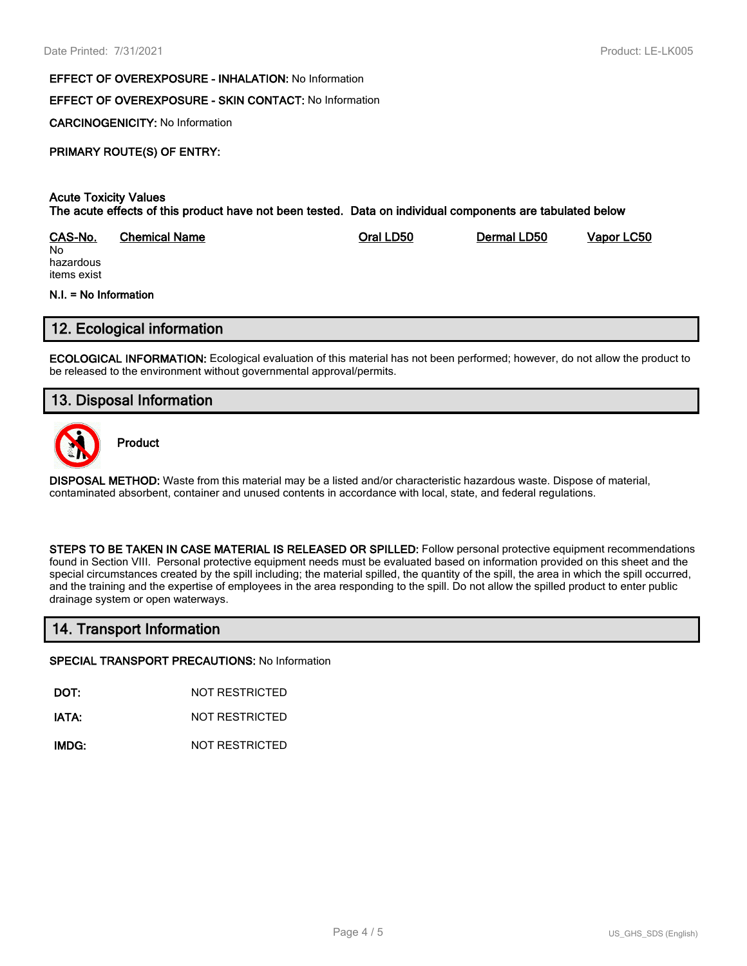#### **EFFECT OF OVEREXPOSURE - INHALATION:** No Information

### **EFFECT OF OVEREXPOSURE - SKIN CONTACT:** No Information

**CARCINOGENICITY:** No Information

## **PRIMARY ROUTE(S) OF ENTRY:**

#### **Acute Toxicity Values The acute effects of this product have not been tested. Data on individual components are tabulated below**

| CAS-No.   | <b>Chemical Name</b> | Oral LD50 | Dermal LD50 | Vapor LC50 |
|-----------|----------------------|-----------|-------------|------------|
| No        |                      |           |             |            |
| hazardous |                      |           |             |            |

hazardous items exist

#### **N.I. = No Information**

## **12. Ecological information**

**ECOLOGICAL INFORMATION:** Ecological evaluation of this material has not been performed; however, do not allow the product to be released to the environment without governmental approval/permits.

## **13. Disposal Information**



**Product**

**DISPOSAL METHOD:** Waste from this material may be a listed and/or characteristic hazardous waste. Dispose of material, contaminated absorbent, container and unused contents in accordance with local, state, and federal regulations.

**STEPS TO BE TAKEN IN CASE MATERIAL IS RELEASED OR SPILLED:** Follow personal protective equipment recommendations found in Section VIII. Personal protective equipment needs must be evaluated based on information provided on this sheet and the special circumstances created by the spill including; the material spilled, the quantity of the spill, the area in which the spill occurred, and the training and the expertise of employees in the area responding to the spill. Do not allow the spilled product to enter public drainage system or open waterways.

## **14. Transport Information**

#### **SPECIAL TRANSPORT PRECAUTIONS:** No Information

**DOT:** NOT RESTRICTED

**IATA:** NOT RESTRICTED

**IMDG:** NOT RESTRICTED